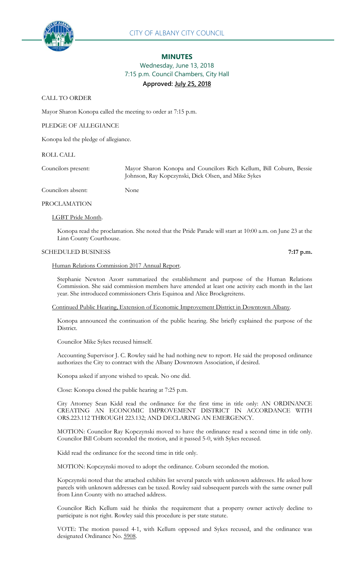

## **MINUTES**

# Wednesday, June 13, 2018 7:15 p.m. Council Chambers, City Hall **Approved: July 25, 2018**

CALL TO ORDER

Mayor Sharon Konopa called the meeting to order at 7:15 p.m.

PLEDGE OF ALLEGIANCE

Konopa led the pledge of allegiance.

Councilors absent: None

# ROLL CALL

Councilors present: Mayor Sharon Konopa and Councilors Rich Kellum, Bill Coburn, Bessie

Johnson, Ray Kopczynski, Dick Olsen, and Mike Sykes

# PROCLAMATION

## LGBT Pride Month.

Konopa read the proclamation. She noted that the Pride Parade will start at 10:00 a.m. on June 23 at the Linn County Courthouse.

## SCHEDULED BUSINESS **7:17 p.m.**

# Human Relations Commission 2017 Annual Report.

Stephanie Newton Azorr summarized the establishment and purpose of the Human Relations Commission. She said commission members have attended at least one activity each month in the last year. She introduced commissioners Chris Equinoa and Alice Brockgreitens.

Continued Public Hearing, Extension of Economic Improvement District in Downtown Albany.

Konopa announced the continuation of the public hearing. She briefly explained the purpose of the District.

Councilor Mike Sykes recused himself.

Accounting Supervisor J. C. Rowley said he had nothing new to report. He said the proposed ordinance authorizes the City to contract with the Albany Downtown Association, if desired.

Konopa asked if anyone wished to speak. No one did.

Close: Konopa closed the public hearing at 7:25 p.m.

City Attorney Sean Kidd read the ordinance for the first time in title only: AN ORDINANCE CREATING AN ECONOMIC IMPROVEMENT DISTRICT IN ACCORDANCE WITH ORS.223.112 THROUGH 223.132; AND DECLARING AN EMERGENCY.

MOTION: Councilor Ray Kopczynski moved to have the ordinance read a second time in title only. Councilor Bill Coburn seconded the motion, and it passed 5-0, with Sykes recused.

Kidd read the ordinance for the second time in title only.

MOTION: Kopczynski moved to adopt the ordinance. Coburn seconded the motion.

Kopczynski noted that the attached exhibits list several parcels with unknown addresses. He asked how parcels with unknown addresses can be taxed. Rowley said subsequent parcels with the same owner pull from Linn County with no attached address.

Councilor Rich Kellum said he thinks the requirement that a property owner actively decline to participate is not right. Rowley said this procedure is per state statute.

VOTE: The motion passed 4-1, with Kellum opposed and Sykes recused, and the ordinance was designated Ordinance No. 5908.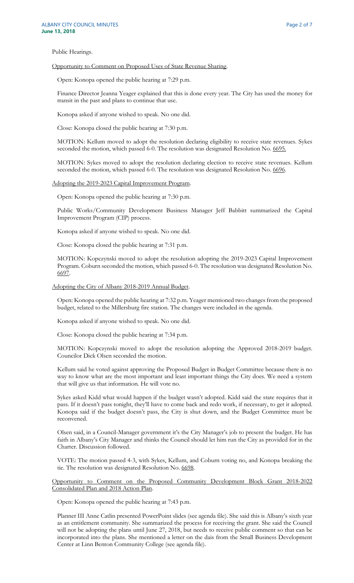Public Hearings.

### Opportunity to Comment on Proposed Uses of State Revenue Sharing.

Open: Konopa opened the public hearing at 7:29 p.m.

Finance Director Jeanna Yeager explained that this is done every year. The City has used the money for transit in the past and plans to continue that use.

Konopa asked if anyone wished to speak. No one did.

Close: Konopa closed the public hearing at 7:30 p.m.

MOTION: Kellum moved to adopt the resolution declaring eligibility to receive state revenues. Sykes seconded the motion, which passed 6-0. The resolution was designated Resolution No. 6695.

MOTION: Sykes moved to adopt the resolution declaring election to receive state revenues. Kellum seconded the motion, which passed 6-0. The resolution was designated Resolution No. 6696.

# Adopting the 2019-2023 Capital Improvement Program.

Open: Konopa opened the public hearing at 7:30 p.m.

Public Works/Community Development Business Manager Jeff Babbitt summarized the Capital Improvement Program (CIP) process.

Konopa asked if anyone wished to speak. No one did.

Close: Konopa closed the public hearing at 7:31 p.m.

MOTION: Kopczynski moved to adopt the resolution adopting the 2019-2023 Capital Improvement Program. Coburn seconded the motion, which passed 6-0. The resolution was designated Resolution No. 6697.

Adopting the City of Albany 2018-2019 Annual Budget.

Open: Konopa opened the public hearing at 7:32 p.m. Yeager mentioned two changes from the proposed budget, related to the Millersburg fire station. The changes were included in the agenda.

Konopa asked if anyone wished to speak. No one did.

Close: Konopa closed the public hearing at 7:34 p.m.

MOTION: Kopczynski moved to adopt the resolution adopting the Approved 2018-2019 budget. Councilor Dick Olsen seconded the motion.

Kellum said he voted against approving the Proposed Budget in Budget Committee because there is no way to know what are the most important and least important things the City does. We need a system that will give us that information. He will vote no.

Sykes asked Kidd what would happen if the budget wasn't adopted. Kidd said the state requires that it pass. If it doesn't pass tonight, they'll have to come back and redo work, if necessary, to get it adopted. Konopa said if the budget doesn't pass, the City is shut down, and the Budget Committee must be reconvened.

Olsen said, in a Council-Manager government it's the City Manager's job to present the budget. He has faith in Albany's City Manager and thinks the Council should let him run the City as provided for in the Charter. Discussion followed.

VOTE: The motion passed 4-3, with Sykes, Kellum, and Coburn voting no, and Konopa breaking the tie. The resolution was designated Resolution No. 6698.

Opportunity to Comment on the Proposed Community Development Block Grant 2018-2022 Consolidated Plan and 2018 Action Plan.

Open: Konopa opened the public hearing at 7:43 p.m.

Planner III Anne Catlin presented PowerPoint slides (see agenda file). She said this is Albany's sixth year as an entitlement community. She summarized the process for receiving the grant. She said the Council will not be adopting the plans until June 27, 2018, but needs to receive public comment so that can be incorporated into the plans. She mentioned a letter on the dais from the Small Business Development Center at Linn Benton Community College (see agenda file).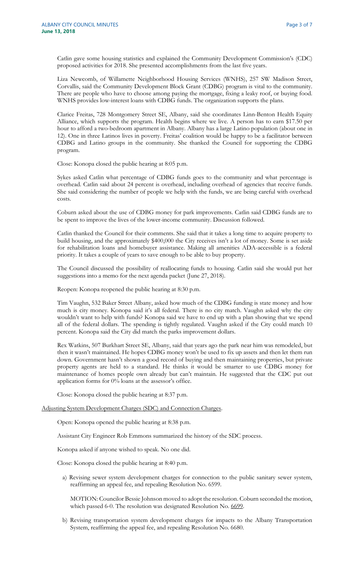Catlin gave some housing statistics and explained the Community Development Commission's (CDC) proposed activities for 2018. She presented accomplishments from the last five years.

Liza Newcomb, of Willamette Neighborhood Housing Services (WNHS), 257 SW Madison Street, Corvallis, said the Community Development Block Grant (CDBG) program is vital to the community. There are people who have to choose among paying the mortgage, fixing a leaky roof, or buying food. WNHS provides low-interest loans with CDBG funds. The organization supports the plans.

Clarice Freitas, 728 Montgomery Street SE, Albany, said she coordinates Linn-Benton Health Equity Alliance, which supports the program. Health begins where we live. A person has to earn \$17.50 per hour to afford a two-bedroom apartment in Albany. Albany has a large Latino population (about one in 12). One in three Latinos lives in poverty. Freitas' coalition would be happy to be a facilitator between CDBG and Latino groups in the community. She thanked the Council for supporting the CDBG program.

Close: Konopa closed the public hearing at 8:05 p.m.

Sykes asked Catlin what percentage of CDBG funds goes to the community and what percentage is overhead. Catlin said about 24 percent is overhead, including overhead of agencies that receive funds. She said considering the number of people we help with the funds, we are being careful with overhead costs.

Coburn asked about the use of CDBG money for park improvements. Catlin said CDBG funds are to be spent to improve the lives of the lower-income community. Discussion followed.

Catlin thanked the Council for their comments. She said that it takes a long time to acquire property to build housing, and the approximately \$400,000 the City receives isn't a lot of money. Some is set aside for rehabilitation loans and homebuyer assistance. Making all amenities ADA-accessible is a federal priority. It takes a couple of years to save enough to be able to buy property.

The Council discussed the possibility of reallocating funds to housing. Catlin said she would put her suggestions into a memo for the next agenda packet (June 27, 2018).

Reopen: Konopa reopened the public hearing at 8:30 p.m.

Tim Vaughn, 532 Baker Street Albany, asked how much of the CDBG funding is state money and how much is city money. Konopa said it's all federal. There is no city match. Vaughn asked why the city wouldn't want to help with funds? Konopa said we have to end up with a plan showing that we spend all of the federal dollars. The spending is tightly regulated. Vaughn asked if the City could match 10 percent. Konopa said the City did match the parks improvement dollars.

Rex Watkins, 507 Burkhart Street SE, Albany, said that years ago the park near him was remodeled, but then it wasn't maintained. He hopes CDBG money won't be used to fix up assets and then let them run down. Government hasn't shown a good record of buying and then maintaining properties, but private property agents are held to a standard. He thinks it would be smarter to use CDBG money for maintenance of homes people own already but can't maintain. He suggested that the CDC put out application forms for 0% loans at the assessor's office.

Close: Konopa closed the public hearing at 8:37 p.m.

#### Adjusting System Development Charges (SDC) and Connection Charges.

Open: Konopa opened the public hearing at 8:38 p.m.

Assistant City Engineer Rob Emmons summarized the history of the SDC process.

Konopa asked if anyone wished to speak. No one did.

Close: Konopa closed the public hearing at 8:40 p.m.

a) Revising sewer system development charges for connection to the public sanitary sewer system, reaffirming an appeal fee, and repealing Resolution No. 6599.

MOTION: Councilor Bessie Johnson moved to adopt the resolution. Coburn seconded the motion, which passed 6-0. The resolution was designated Resolution No. 6699.

b) Revising transportation system development charges for impacts to the Albany Transportation System, reaffirming the appeal fee, and repealing Resolution No. 6680.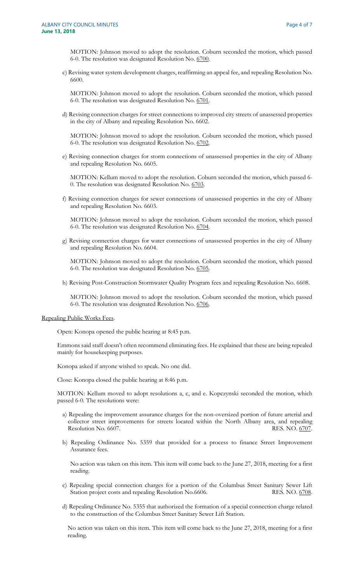MOTION: Johnson moved to adopt the resolution. Coburn seconded the motion, which passed 6-0. The resolution was designated Resolution No. 6700.

c) Revising water system development charges, reaffirming an appeal fee, and repealing Resolution No. 6600.

MOTION: Johnson moved to adopt the resolution. Coburn seconded the motion, which passed 6-0. The resolution was designated Resolution No. 6701.

d) Revising connection charges for street connections to improved city streets of unassessed properties in the city of Albany and repealing Resolution No. 6602.

MOTION: Johnson moved to adopt the resolution. Coburn seconded the motion, which passed 6-0. The resolution was designated Resolution No. 6702.

e) Revising connection charges for storm connections of unassessed properties in the city of Albany and repealing Resolution No. 6605.

MOTION: Kellum moved to adopt the resolution. Coburn seconded the motion, which passed 6- 0. The resolution was designated Resolution No. 6703.

f) Revising connection charges for sewer connections of unassessed properties in the city of Albany and repealing Resolution No. 6603.

MOTION: Johnson moved to adopt the resolution. Coburn seconded the motion, which passed 6-0. The resolution was designated Resolution No. 6704.

g) Revising connection charges for water connections of unassessed properties in the city of Albany and repealing Resolution No. 6604.

MOTION: Johnson moved to adopt the resolution. Coburn seconded the motion, which passed 6-0. The resolution was designated Resolution No. 6705.

h) Revising Post-Construction Stormwater Quality Program fees and repealing Resolution No. 6608.

MOTION: Johnson moved to adopt the resolution. Coburn seconded the motion, which passed 6-0. The resolution was designated Resolution No. 6706.

#### Repealing Public Works Fees.

Open: Konopa opened the public hearing at 8:45 p.m.

Emmons said staff doesn't often recommend eliminating fees. He explained that these are being repealed mainly for housekeeping purposes.

Konopa asked if anyone wished to speak. No one did.

Close: Konopa closed the public hearing at 8:46 p.m.

MOTION: Kellum moved to adopt resolutions a, c, and e. Kopczynski seconded the motion, which passed 6-0. The resolutions were:

- a) Repealing the improvement assurance charges for the non-oversized portion of future arterial and collector street improvements for streets located within the North Albany area, and repealing Resolution No. 6607. RES. NO. 6707.
- b) Repealing Ordinance No. 5359 that provided for a process to finance Street Improvement Assurance fees.

No action was taken on this item. This item will come back to the June 27, 2018, meeting for a first reading.

- c) Repealing special connection charges for a portion of the Columbus Street Sanitary Sewer Lift Station project costs and repealing Resolution No.6606. RES. NO. 6708.
- d) Repealing Ordinance No. 5355 that authorized the formation of a special connection charge related to the construction of the Columbus Street Sanitary Sewer Lift Station.

No action was taken on this item. This item will come back to the June 27, 2018, meeting for a first reading.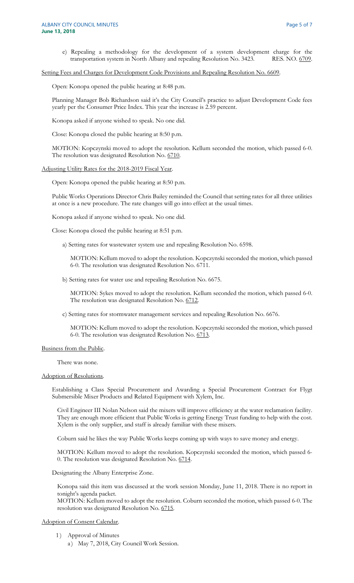e) Repealing a methodology for the development of a system development charge for the transportation system in North Albany and repealing Resolution No. 3423. RES. NO. 6709.

Setting Fees and Charges for Development Code Provisions and Repealing Resolution No. 6609.

Open: Konopa opened the public hearing at 8:48 p.m.

Planning Manager Bob Richardson said it's the City Council's practice to adjust Development Code fees yearly per the Consumer Price Index. This year the increase is 2.59 percent.

Konopa asked if anyone wished to speak. No one did.

Close: Konopa closed the public hearing at 8:50 p.m.

MOTION: Kopczynski moved to adopt the resolution. Kellum seconded the motion, which passed 6-0. The resolution was designated Resolution No. 6710.

Adjusting Utility Rates for the 2018-2019 Fiscal Year.

Open: Konopa opened the public hearing at 8:50 p.m.

Public Works Operations Director Chris Bailey reminded the Council that setting rates for all three utilities at once is a new procedure. The rate changes will go into effect at the usual times.

Konopa asked if anyone wished to speak. No one did.

Close: Konopa closed the public hearing at 8:51 p.m.

a) Setting rates for wastewater system use and repealing Resolution No. 6598.

MOTION: Kellum moved to adopt the resolution. Kopczynski seconded the motion, which passed 6-0. The resolution was designated Resolution No. 6711.

b) Setting rates for water use and repealing Resolution No. 6675.

MOTION: Sykes moved to adopt the resolution. Kellum seconded the motion, which passed 6-0. The resolution was designated Resolution No. 6712.

c) Setting rates for stormwater management services and repealing Resolution No. 6676.

MOTION: Kellum moved to adopt the resolution. Kopczynski seconded the motion, which passed 6-0. The resolution was designated Resolution No. 6713.

#### Business from the Public.

There was none.

#### Adoption of Resolutions.

Establishing a Class Special Procurement and Awarding a Special Procurement Contract for Flygt Submersible Mixer Products and Related Equipment with Xylem, Inc.

Civil Engineer III Nolan Nelson said the mixers will improve efficiency at the water reclamation facility. They are enough more efficient that Public Works is getting Energy Trust funding to help with the cost. Xylem is the only supplier, and staff is already familiar with these mixers.

Coburn said he likes the way Public Works keeps coming up with ways to save money and energy.

MOTION: Kellum moved to adopt the resolution. Kopczynski seconded the motion, which passed 6- 0. The resolution was designated Resolution No. 6714.

Designating the Albany Enterprise Zone.

Konopa said this item was discussed at the work session Monday, June 11, 2018. There is no report in tonight's agenda packet.

MOTION: Kellum moved to adopt the resolution. Coburn seconded the motion, which passed 6-0. The resolution was designated Resolution No. 6715.

#### Adoption of Consent Calendar.

- 1) Approval of Minutes
	- a) May 7, 2018, City Council Work Session.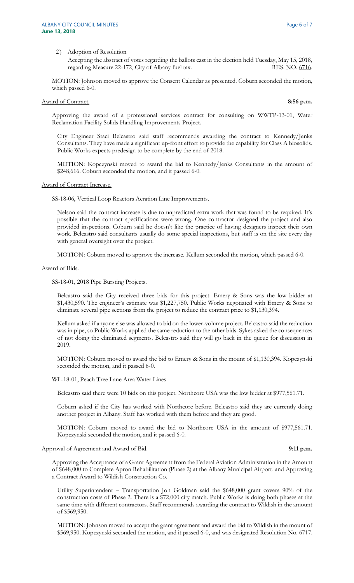#### 2) Adoption of Resolution

Accepting the abstract of votes regarding the ballots cast in the election held Tuesday, May 15, 2018, regarding Measure 22-172, City of Albany fuel tax. RES. NO. 6716.

MOTION: Johnson moved to approve the Consent Calendar as presented. Coburn seconded the motion, which passed 6-0.

# Award of Contract. **8:56 p.m.**

Approving the award of a professional services contract for consulting on WWTP-13-01, Water Reclamation Facility Solids Handling Improvements Project.

City Engineer Staci Belcastro said staff recommends awarding the contract to Kennedy/Jenks Consultants. They have made a significant up-front effort to provide the capability for Class A biosolids. Public Works expects predesign to be complete by the end of 2018.

MOTION: Kopczynski moved to award the bid to Kennedy/Jenks Consultants in the amount of \$248,616. Coburn seconded the motion, and it passed 6-0.

Award of Contract Increase.

SS-18-06, Vertical Loop Reactors Aeration Line Improvements.

Nelson said the contract increase is due to unpredicted extra work that was found to be required. It's possible that the contract specifications were wrong. One contractor designed the project and also provided inspections. Coburn said he doesn't like the practice of having designers inspect their own work. Belcastro said consultants usually do some special inspections, but staff is on the site every day with general oversight over the project.

MOTION: Coburn moved to approve the increase. Kellum seconded the motion, which passed 6-0.

Award of Bids.

SS-18-01, 2018 Pipe Bursting Projects.

Belcastro said the City received three bids for this project. Emery & Sons was the low bidder at \$1,430,590. The engineer's estimate was \$1,227,750. Public Works negotiated with Emery & Sons to eliminate several pipe sections from the project to reduce the contract price to \$1,130,394.

Kellum asked if anyone else was allowed to bid on the lower-volume project. Belcastro said the reduction was in pipe, so Public Works applied the same reduction to the other bids. Sykes asked the consequences of not doing the eliminated segments. Belcastro said they will go back in the queue for discussion in 2019.

MOTION: Coburn moved to award the bid to Emery & Sons in the mount of \$1,130,394. Kopczynski seconded the motion, and it passed 6-0.

WL-18-01, Peach Tree Lane Area Water Lines.

Belcastro said there were 10 bids on this project. Northcore USA was the low bidder at \$977,561.71.

Coburn asked if the City has worked with Northcore before. Belcastro said they are currently doing another project in Albany. Staff has worked with them before and they are good.

MOTION: Coburn moved to award the bid to Northcore USA in the amount of \$977,561.71. Kopczynski seconded the motion, and it passed 6-0.

#### Approval of Agreement and Award of Bid. **9:11 p.m.**

Approving the Acceptance of a Grant Agreement from the Federal Aviation Administration in the Amount of \$648,000 to Complete Apron Rehabilitation (Phase 2) at the Albany Municipal Airport, and Approving a Contract Award to Wildish Construction Co.

Utility Superintendent – Transportation Jon Goldman said the \$648,000 grant covers 90% of the construction costs of Phase 2. There is a \$72,000 city match. Public Works is doing both phases at the same time with different contractors. Staff recommends awarding the contract to Wildish in the amount of \$569,950.

MOTION: Johnson moved to accept the grant agreement and award the bid to Wildish in the mount of \$569,950. Kopczynski seconded the motion, and it passed 6-0, and was designated Resolution No. 6717.